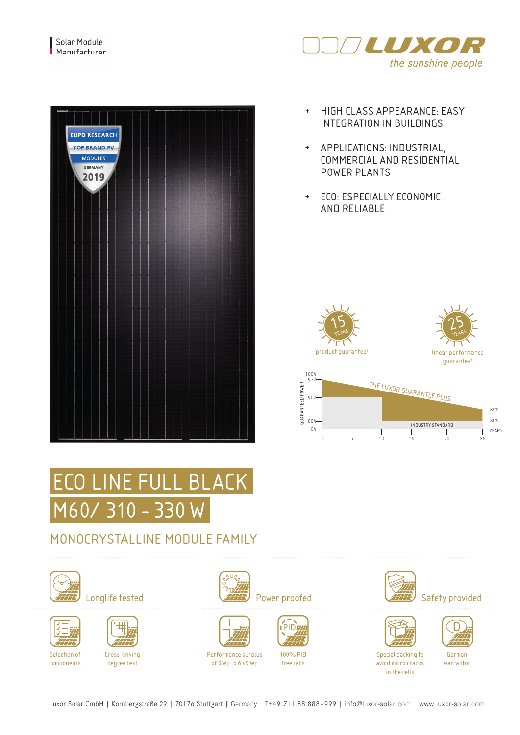



- + HIGH CLASS APPEARANCE: EASY INTEGRATION IN BUILDINGS
- + APPLICATIONS: INDUSTRIAL, COMMERCIAL AND RESIDENTIAL POWER PLANTS
- + ECO: ESPECIALLY ECONOMIC AND RELIABLE



1 5 10 15 20 25

INDUSTRY STANDARD 0%



## MONOCRYSTALLINE MODULE FAMILY







components

Cross-linking degree test







of 0Wp to 6.49 Wp









German warrantor YEARS

Luxor Solar GmbH | Kornbergstraße 29 | 70176 Stuttgart | Germany | T+49.711.88 888 - 999 | info@luxor-solar.com | www.luxor-solar.com